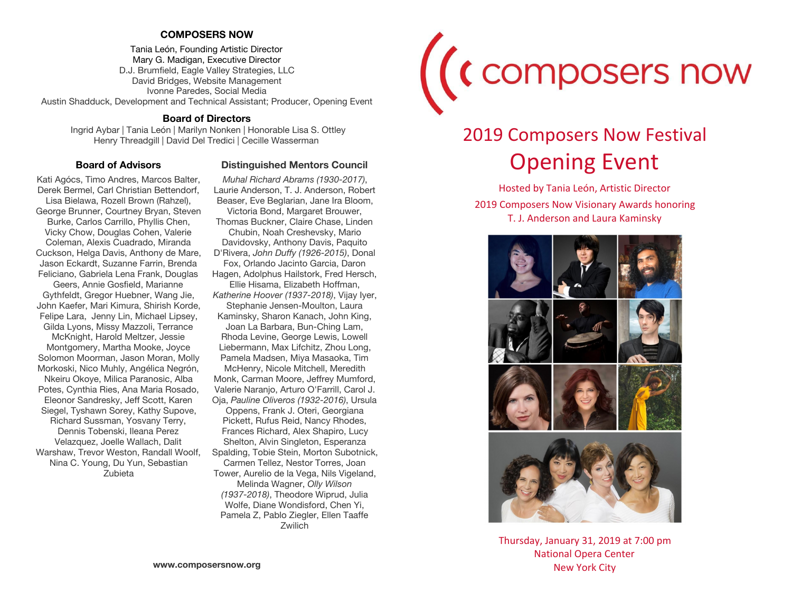### **COMPOSERS NOW**

Tania León, Founding Artistic Director Mary G. Madigan, Executive Director D.J. Brumfield, Eagle Valley Strategies, LLC David Bridges, Website Management Ivonne Paredes, Social Media Austin Shadduck, Development and Technical Assistant; Producer, Opening Event

### **Board of Directors**

 Ingrid Aybar | Tania León | Marilyn Nonken | Honorable Lisa S. Ottley Henry Threadgill | David Del Tredici | Cecille Wasserman

### **Board of Advisors**

Kati Agócs, Timo Andres, Marcos Balter, Derek Bermel, Carl Christian Bettendorf, Lisa Bielawa, Rozell Brown (Rahzel), George Brunner, Courtney Bryan, Steven Burke, Carlos Carrillo, Phyllis Chen, Vicky Chow, Douglas Cohen, Valerie Coleman, Alexis Cuadrado, Miranda Cuckson, Helga Davis, Anthony de Mare, Jason Eckardt, Suzanne Farrin, Brenda Feliciano, Gabriela Lena Frank, Douglas Geers, Annie Gosfield, Marianne Gythfeldt, Gregor Huebner, Wang Jie, John Kaefer, Mari Kimura, Shirish Korde, Felipe Lara, Jenny Lin, Michael Lipsey, Gilda Lyons, Missy Mazzoli, Terrance McKnight, Harold Meltzer, Jessie Montgomery, Martha Mooke, Joyce Solomon Moorman, Jason Moran, Molly Morkoski, Nico Muhly, Angélica Negrón, Nkeiru Okoye, Milica Paranosic, Alba Potes, Cynthia Ries, Ana Maria Rosado, Eleonor Sandresky, Jeff Scott, Karen Siegel, Tyshawn Sorey, Kathy Supove, Richard Sussman, Yosvany Terry, Dennis Tobenski, Ileana Perez Velazquez, Joelle Wallach, Dalit Warshaw, Trevor Weston, Randall Woolf, Nina C. Young, Du Yun, Sebastian Zubieta

### **Distinguished Mentors Council**

*Muhal Richard Abrams (1930-2017)*, Laurie Anderson, T. J. Anderson, Robert Beaser, Eve Beglarian, Jane Ira Bloom, Victoria Bond, Margaret Brouwer, Thomas Buckner, Claire Chase, Linden Chubin, Noah Creshevsky, Mario Davidovsky, Anthony Davis, Paquito D'Rivera, *John Duffy (1926-2015)*, Donal Fox, Orlando Jacinto Garcia, Daron Hagen, Adolphus Hailstork, Fred Hersch, Ellie Hisama, Elizabeth Hoffman, *Katherine Hoover (1937-2018)*, Vijay Iyer, Stephanie Jensen-Moulton, Laura Kaminsky, Sharon Kanach, John King, Joan La Barbara, Bun-Ching Lam, Rhoda Levine, George Lewis, Lowell Liebermann, Max Lifchitz, Zhou Long, Pamela Madsen, Miya Masaoka, Tim McHenry, Nicole Mitchell, Meredith Monk, Carman Moore, Jeffrey Mumford, Valerie Naranjo, Arturo O'Farrill, Carol J. Oja, *Pauline Oliveros (1932-2016)*, Ursula Oppens, Frank J. Oteri, Georgiana Pickett, Rufus Reid, Nancy Rhodes, Frances Richard, Alex Shapiro, Lucy Shelton, Alvin Singleton, Esperanza Spalding, Tobie Stein, Morton Subotnick, Carmen Tellez, Nestor Torres, Joan Tower, Aurelio de la Vega, Nils Vigeland, Melinda Wagner, *Olly Wilson (1937-2018)*, Theodore Wiprud, Julia Wolfe, Diane Wondisford, Chen Yi, Pamela Z, Pablo Ziegler, Ellen Taaffe Zwilich



# 2019 Composers Now Festival Opening Event

Hosted by Tania León, Artistic Director 2019 Composers Now Visionary Awards honoring T. J. Anderson and Laura Kaminsky



Thursday, January 31, 2019 at 7:00 pm National Opera Center New York City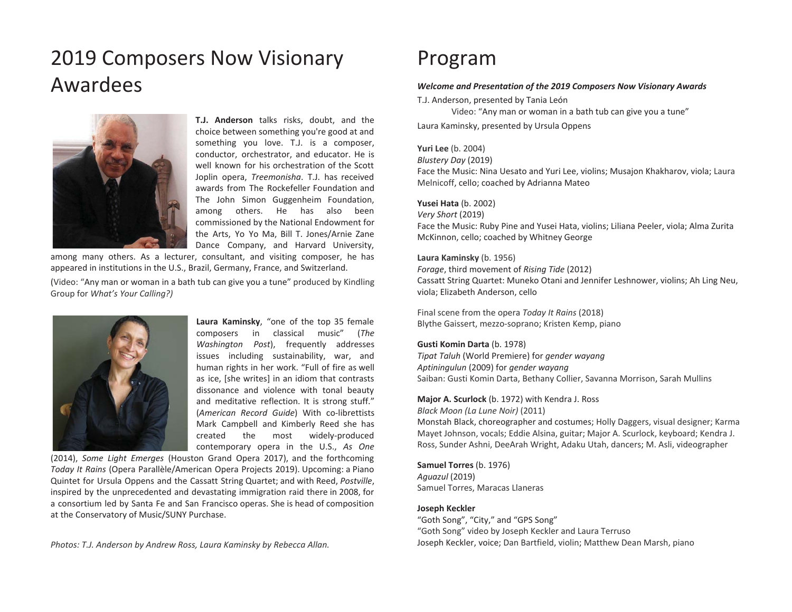## 2019 Composers Now Visionary Awardees



**T.J. Anderson** talks risks, doubt, and the choice between something you're good at and something you love. T.J. is <sup>a</sup> composer, conductor, orchestrator, and educator. He is well known for his orchestration of the ScottJoplin opera, *Treemonisha*. T.J. has received awards from The Rockefeller Foundation andThe John Simon Guggenheim Foundation, among others. He has also been commissioned by the National Endowment for the Arts, Yo Yo Ma, Bill T. Jones/Arnie Zane Dance Company, and Harvard University,

among many others. As <sup>a</sup> lecturer, consultant, and visiting composer, he has appeared in institutions in the U.S., Brazil, Germany, France, and Switzerland.

(Video: "Any man or woman in <sup>a</sup> bath tub can give you <sup>a</sup> tune" produced by Kindling Group for *What's Your Calling?)*



**Laura Kaminsky**, "one of the top 35 female composers in classical music" (*The Washington Post*), frequently addresses issues including sustainability, war, and human rights in her work. "Full of fire as well as ice, [she writes] in an idiom that contrasts dissonance and violence with tonal beauty and meditative reflection. It is strong stuff." (*American Record Guide*) With co-librettists Mark Campbell and Kimberly Reed she has created the most widely-produced contemporary opera in the U.S., *As One*

(2014), *Some Light Emerges* (Houston Grand Opera 2017), and the forthcoming *Today It Rains* (Opera Parallèle/American Opera Projects 2019). Upcoming: <sup>a</sup> Piano Quintet for Ursula Oppens and the Cassatt String Quartet; and with Reed, *Postville*, inspired by the unprecedented and devastating immigration raid there in 2008, for <sup>a</sup> consortium led by Santa Fe and San Francisco operas. She is head of composition at the Conservatory of Music/SUNY Purchase.

*Photos: T.J. Anderson by Andrew Ross, Laura Kaminsky by Rebecca Allan.*

### Program

### *Welcome and Presentation of the 2019 Composers Now Visionary Awards*

T.J. Anderson, presented by Tania León

Video: "Any man or woman in a bath tub can give you a tune"

Laura Kaminsky, presented by Ursula Oppens

### **Yuri Lee** (b. 2004)

*Blustery Day* (2019)

Face the Music: Nina Uesato and Yuri Lee, violins; Musajon Khakharov, viola; Laura Melnicoff, cello; coached by Adrianna Mateo

### **Yusei Hata** (b. 2002)

*Very Short* (2019) Face the Music: Ruby Pine and Yusei Hata, violins; Liliana Peeler, viola; Alma Zurita McKinnon, cello; coached by Whitney George

### **Laura Kaminsky** (b. 1956)

*Forage*, third movement of *Rising Tide* (2012) Cassatt String Quartet: Muneko Otani and Jennifer Leshnower, violins; Ah Ling Neu, viola; Elizabeth Anderson, cello

Final scene from the opera *Today It Rains* (2018) Blythe Gaissert, mezzo-soprano; Kristen Kemp, piano

### **Gusti Komin Darta** (b. 1978)

*Tipat Taluh* (World Premiere) for *gender wayang Aptiningulun* (2009) for *gender wayang* Saiban: Gusti Komin Darta, Bethany Collier, Savanna Morrison, Sarah Mullins

**Major A. Scurlock** (b. 1972) with Kendra J. Ross

*Black Moon (La Lune Noir)* (2011) Monstah Black, choreographer and costumes; Holly Daggers, visual designer; Karma Mayet Johnson, vocals; Eddie Alsina, guitar; Major A. Scurlock, keyboard; Kendra J. Ross, Sunder Ashni, DeeArah Wright, Adaku Utah, dancers; M. Asli, videographer

**Samuel Torres** (b. 1976) *Aguazul* (2019) Samuel Torres, Maracas Llaneras

### **Joseph Keckler**

"Goth Song", "City," and "GPS Song" "Goth Song" video by Joseph Keckler and Laura Terruso Joseph Keckler, voice; Dan Bartfield, violin; Matthew Dean Marsh, piano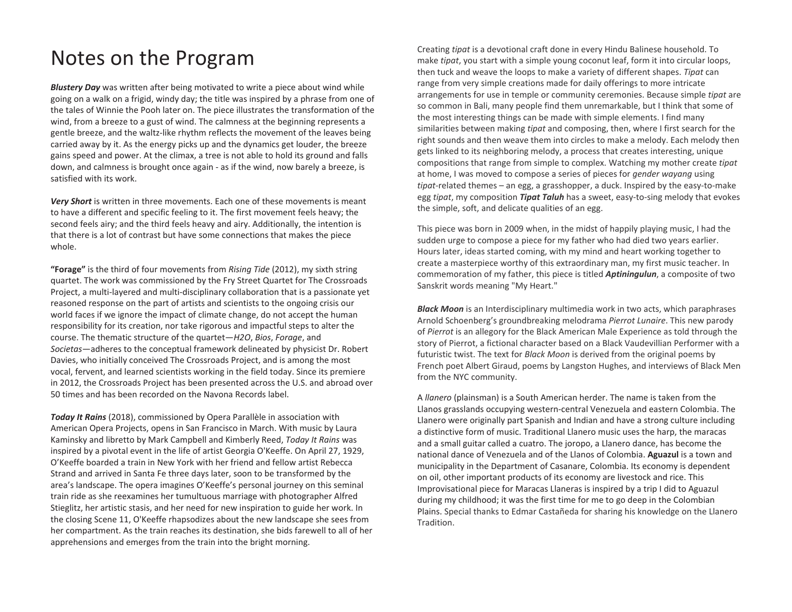### Notes on the Program

*Blustery Day* was written after being motivated to write a piece about wind while going on a walk on a frigid, windy day; the title was inspired by a phrase from one of the tales of Winnie the Pooh later on. The piece illustrates the transformation of the wind, from a breeze to a gust of wind. The calmness at the beginning represents a gentle breeze, and the waltz-like rhythm reflects the movement of the leaves being carried away by it. As the energy picks up and the dynamics get louder, the breeze gains speed and power. At the climax, a tree is not able to hold its ground and falls down, and calmness is brought once again - as if the wind, now barely a breeze, is satisfied with its work.

*Very Short* is written in three movements. Each one of these movements is meant to have a different and specific feeling to it. The first movement feels heavy; the second feels airy; and the third feels heavy and airy. Additionally, the intention is that there is a lot of contrast but have some connections that makes the piece whole.

**"Forage"** is the third of four movements from *Rising Tide* (2012), my sixth string quartet. The work was commissioned by the Fry Street Quartet for The Crossroads Project, a multi-layered and multi-disciplinary collaboration that is a passionate yet reasoned response on the part of artists and scientists to the ongoing crisis our world faces if we ignore the impact of climate change, do not accept the human responsibility for its creation, nor take rigorous and impactful steps to alter the course. The thematic structure of the quartet—*H2O*, *Bios*, *Forage*, and *Societas*—adheres to the conceptual framework delineated by physicist Dr. Robert Davies, who initially conceived The Crossroads Project, and is among the most vocal, fervent, and learned scientists working in the field today. Since its premiere in 2012, the Crossroads Project has been presented across the U.S. and abroad over 50 times and has been recorded on the Navona Records label.

*Today It Rains* (2018), commissioned by Opera Parallèle in association with American Opera Projects, opens in San Francisco in March. With music by Laura Kaminsky and libretto by Mark Campbell and Kimberly Reed, *Today It Rains* was inspired by a pivotal event in the life of artist Georgia O'Keeffe. On April 27, 1929, O'Keeffe boarded a train in New York with her friend and fellow artist Rebecca Strand and arrived in Santa Fe three days later, soon to be transformed by the area's landscape. The opera imagines O'Keeffe's personal journey on this seminal train ride as she reexamines her tumultuous marriage with photographer Alfred Stieglitz, her artistic stasis, and her need for new inspiration to guide her work. In the closing Scene 11, O'Keeffe rhapsodizes about the new landscape she sees from her compartment. As the train reaches its destination, she bids farewell to all of her apprehensions and emerges from the train into the bright morning.

Creating *tipat* is a devotional craft done in every Hindu Balinese household. To make *tipat*, you start with a simple young coconut leaf, form it into circular loops, then tuck and weave the loops to make a variety of different shapes. *Tipat* can range from very simple creations made for daily offerings to more intricate arrangements for use in temple or community ceremonies. Because simple *tipat* are so common in Bali, many people find them unremarkable, but I think that some of the most interesting things can be made with simple elements. I find many similarities between making *tipat* and composing, then, where I first search for the right sounds and then weave them into circles to make a melody. Each melody then gets linked to its neighboring melody, a process that creates interesting, unique compositions that range from simple to complex. Watching my mother create *tipat*  at home, I was moved to compose a series of pieces for *gender wayang* using *tipat-*related themes – an egg, a grasshopper, a duck. Inspired by the easy-to-make egg *tipat*, my composition *Tipat Taluh* has a sweet, easy-to-sing melody that evokes the simple, soft, and delicate qualities of an egg.

This piece was born in 2009 when, in the midst of happily playing music, I had the sudden urge to compose a piece for my father who had died two years earlier. Hours later, ideas started coming, with my mind and heart working together to create a masterpiece worthy of this extraordinary man, my first music teacher. In commemoration of my father, this piece is titled *Aptiningulun*, a composite of two Sanskrit words meaning "My Heart."

*Black Moon* is an Interdisciplinary multimedia work in two acts, which paraphrases Arnold Schoenberg's groundbreaking melodrama *Pierrot Lunaire*. This new parody of *Pierrot* is an allegory for the Black American Male Experience as told through the story of Pierrot, a fictional character based on a Black Vaudevillian Performer with a futuristic twist. The text for *Black Moon* is derived from the original poems by French poet Albert Giraud, poems by Langston Hughes, and interviews of Black Men from the NYC community.

A *llanero* (plainsman) is a South American herder. The name is taken from the Llanos grasslands occupying western-central Venezuela and eastern Colombia. The Llanero were originally part Spanish and Indian and have a strong culture including a distinctive form of music. Traditional Llanero music uses the harp, the maracas and a small guitar called a cuatro. The joropo, a Llanero dance, has become the national dance of Venezuela and of the Llanos of Colombia. **Aguazul** is a town and municipality in the Department of Casanare, Colombia. Its economy is dependent on oil, other important products of its economy are livestock and rice. This Improvisational piece for Maracas Llaneras is inspired by a trip I did to Aguazul during my childhood; it was the first time for me to go deep in the Colombian Plains. Special thanks to Edmar Castañeda for sharing his knowledge on the Llanero Tradition.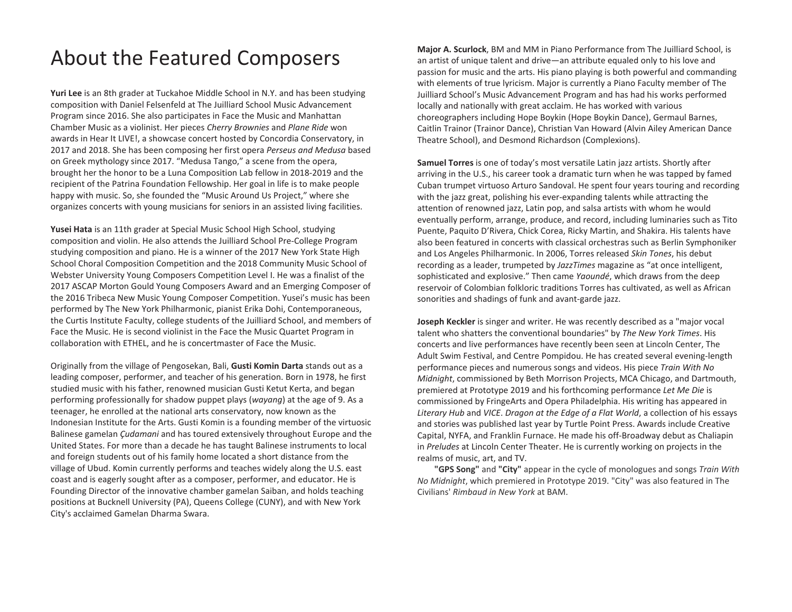## About the Featured Composers

**Yuri Lee** is an 8th grader at Tuckahoe Middle School in N.Y. and has been studying composition with Daniel Felsenfeld at The Juilliard School Music Advancement Program since 2016. She also participates in Face the Music and Manhattan Chamber Music as a violinist. Her pieces *Cherry Brownies* and *Plane Ride* won awards in Hear It LIVE!, a showcase concert hosted by Concordia Conservatory, in 2017 and 2018. She has been composing her first opera *Perseus and Medusa* based on Greek mythology since 2017. "Medusa Tango," a scene from the opera, brought her the honor to be a Luna Composition Lab fellow in 2018-2019 and the recipient of the Patrina Foundation Fellowship. Her goal in life is to make people happy with music. So, she founded the "Music Around Us Project," where she organizes concerts with young musicians for seniors in an assisted living facilities.

**Yusei Hata** is an 11th grader at Special Music School High School, studying composition and violin. He also attends the Juilliard School Pre-College Program studying composition and piano. He is a winner of the 2017 New York State High School Choral Composition Competition and the 2018 Community Music School of Webster University Young Composers Competition Level I. He was a finalist of the 2017 ASCAP Morton Gould Young Composers Award and an Emerging Composer of the 2016 Tribeca New Music Young Composer Competition. Yusei's music has been performed by The New York Philharmonic, pianist Erika Dohi, Contemporaneous, the Curtis Institute Faculty, college students of the Juilliard School, and members of Face the Music. He is second violinist in the Face the Music Quartet Program in collaboration with ETHEL, and he is concertmaster of Face the Music.

Originally from the village of Pengosekan, Bali, **Gusti Komin Darta** stands out as a leading composer, performer, and teacher of his generation. Born in 1978, he first studied music with his father, renowned musician Gusti Ketut Kerta, and began performing professionally for shadow puppet plays (*wayang*) at the age of 9. As a teenager, he enrolled at the national arts conservatory, now known as the Indonesian Institute for the Arts. Gusti Komin is a founding member of the virtuosic Balinese gamelan *Çudamani* and has toured extensively throughout Europe and the United States. For more than a decade he has taught Balinese instruments to local and foreign students out of his family home located a short distance from the village of Ubud. Komin currently performs and teaches widely along the U.S. east coast and is eagerly sought after as a composer, performer, and educator. He is Founding Director of the innovative chamber gamelan Saiban, and holds teaching positions at Bucknell University (PA), Queens College (CUNY), and with New York City's acclaimed Gamelan Dharma Swara.

**Major A. Scurlock**, BM and MM in Piano Performance from The Juilliard School, is an artist of unique talent and drive—an attribute equaled only to his love and passion for music and the arts. His piano playing is both powerful and commanding with elements of true lyricism. Major is currently a Piano Faculty member of The Juilliard School's Music Advancement Program and has had his works performed locally and nationally with great acclaim. He has worked with various choreographers including Hope Boykin (Hope Boykin Dance), Germaul Barnes, Caitlin Trainor (Trainor Dance), Christian Van Howard (Alvin Ailey American Dance Theatre School), and Desmond Richardson (Complexions).

**Samuel Torres** is one of today's most versatile Latin jazz artists. Shortly after arriving in the U.S., his career took a dramatic turn when he was tapped by famed Cuban trumpet virtuoso Arturo Sandoval. He spent four years touring and recording with the jazz great, polishing his ever-expanding talents while attracting the attention of renowned jazz, Latin pop, and salsa artists with whom he would eventually perform, arrange, produce, and record, including luminaries such as Tito Puente, Paquito D'Rivera, Chick Corea, Ricky Martin, and Shakira. His talents have also been featured in concerts with classical orchestras such as Berlin Symphoniker and Los Angeles Philharmonic. In 2006, Torres released *Skin Tones*, his debut recording as a leader, trumpeted by *JazzTimes* magazine as "at once intelligent, sophisticated and explosive." Then came *Yaoundé*, which draws from the deep reservoir of Colombian folkloric traditions Torres has cultivated, as well as African sonorities and shadings of funk and avant-garde jazz.

**Joseph Keckler** is singer and writer. He was recently described as a "major vocal talent who shatters the conventional boundaries" by *The New York Times*. His concerts and live performances have recently been seen at Lincoln Center, The Adult Swim Festival, and Centre Pompidou. He has created several evening-length performance pieces and numerous songs and videos. His piece *Train With No Midnight*, commissioned by Beth Morrison Projects, MCA Chicago, and Dartmouth, premiered at Prototype 2019 and his forthcoming performance *Let Me Die* is commissioned by FringeArts and Opera Philadelphia. His writing has appeared in *Literary Hub* and *VICE*. *Dragon at the Edge of a Flat World*, a collection of his essays and stories was published last year by Turtle Point Press. Awards include Creative Capital, NYFA, and Franklin Furnace. He made his off-Broadway debut as Chaliapin in *Preludes* at Lincoln Center Theater. He is currently working on projects in the realms of music, art, and TV.

**"GPS Song"** and **"City"** appear in the cycle of monologues and songs *Train With No Midnight*, which premiered in Prototype 2019. "City" was also featured in The Civilians' *Rimbaud in New York* at BAM.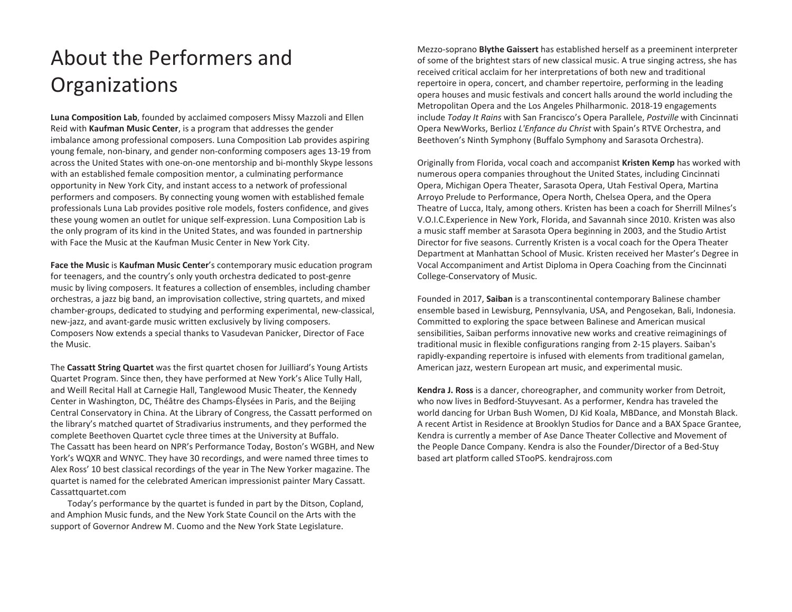# About the Performers and **Organizations**

**Luna Composition Lab**, founded by acclaimed composers Missy Mazzoli and Ellen Reid with **Kaufman Music Center**, is a program that addresses the gender imbalance among professional composers. Luna Composition Lab provides aspiring young female, non-binary, and gender non-conforming composers ages 13-19 from across the United States with one-on-one mentorship and bi-monthly Skype lessons with an established female composition mentor, a culminating performance opportunity in New York City, and instant access to a network of professional performers and composers. By connecting young women with established female professionals Luna Lab provides positive role models, fosters confidence, and gives these young women an outlet for unique self-expression. Luna Composition Lab is the only program of its kind in the United States, and was founded in partnership with Face the Music at the Kaufman Music Center in New York City.

**Face the Music** is **Kaufman Music Center**'s contemporary music education program for teenagers, and the country's only youth orchestra dedicated to post-genre music by living composers. It features a collection of ensembles, including chamber orchestras, a jazz big band, an improvisation collective, string quartets, and mixed chamber-groups, dedicated to studying and performing experimental, new-classical, new-jazz, and avant-garde music written exclusively by living composers. Composers Now extends a special thanks to Vasudevan Panicker, Director of Face the Music.

The **Cassatt String Quartet** was the first quartet chosen for Juilliard's Young Artists Quartet Program. Since then, they have performed at New York's Alice Tully Hall, and Weill Recital Hall at Carnegie Hall, Tanglewood Music Theater, the Kennedy Center in Washington, DC, Théâtre des Champs-Élysées in Paris, and the Beijing Central Conservatory in China. At the Library of Congress, the Cassatt performed on the library's matched quartet of Stradivarius instruments, and they performed the complete Beethoven Quartet cycle three times at the University at Buffalo. The Cassatt has been heard on NPR's Performance Today, Boston's WGBH, and New York's WQXR and WNYC. They have 30 recordings, and were named three times to Alex Ross' 10 best classical recordings of the year in The New Yorker magazine. The quartet is named for the celebrated American impressionist painter Mary Cassatt. Cassattquartet.com

Today's performance by the quartet is funded in part by the Ditson, Copland, and Amphion Music funds, and the New York State Council on the Arts with the support of Governor Andrew M. Cuomo and the New York State Legislature.

Mezzo-soprano **Blythe Gaissert** has established herself as a preeminent interpreter of some of the brightest stars of new classical music. A true singing actress, she has received critical acclaim for her interpretations of both new and traditional repertoire in opera, concert, and chamber repertoire, performing in the leading opera houses and music festivals and concert halls around the world including the Metropolitan Opera and the Los Angeles Philharmonic. 2018-19 engagements include *Today It Rains* with San Francisco's Opera Parallele, *Postville* with Cincinnati Opera NewWorks, Berlioz *L'Enfance du Christ* with Spain's RTVE Orchestra, and Beethoven's Ninth Symphony (Buffalo Symphony and Sarasota Orchestra).

Originally from Florida, vocal coach and accompanist **Kristen Kemp** has worked with numerous opera companies throughout the United States, including Cincinnati Opera, Michigan Opera Theater, Sarasota Opera, Utah Festival Opera, Martina Arroyo Prelude to Performance, Opera North, Chelsea Opera, and the Opera Theatre of Lucca, Italy, among others. Kristen has been a coach for Sherrill Milnes's V.O.I.C.Experience in New York, Florida, and Savannah since 2010. Kristen was also a music staff member at Sarasota Opera beginning in 2003, and the Studio Artist Director for five seasons. Currently Kristen is a vocal coach for the Opera Theater Department at Manhattan School of Music. Kristen received her Master's Degree in Vocal Accompaniment and Artist Diploma in Opera Coaching from the Cincinnati College-Conservatory of Music.

Founded in 2017, **Saiban** is a transcontinental contemporary Balinese chamber ensemble based in Lewisburg, Pennsylvania, USA, and Pengosekan, Bali, Indonesia. Committed to exploring the space between Balinese and American musical sensibilities, Saiban performs innovative new works and creative reimaginings of traditional music in flexible configurations ranging from 2-15 players. Saiban's rapidly-expanding repertoire is infused with elements from traditional gamelan, American jazz, western European art music, and experimental music.

**Kendra J. Ross** is a dancer, choreographer, and community worker from Detroit, who now lives in Bedford-Stuyvesant. As a performer, Kendra has traveled the world dancing for Urban Bush Women, DJ Kid Koala, MBDance, and Monstah Black. A recent Artist in Residence at Brooklyn Studios for Dance and a BAX Space Grantee, Kendra is currently a member of Ase Dance Theater Collective and Movement of the People Dance Company. Kendra is also the Founder/Director of a Bed-Stuy based art platform called STooPS. kendrajross.com